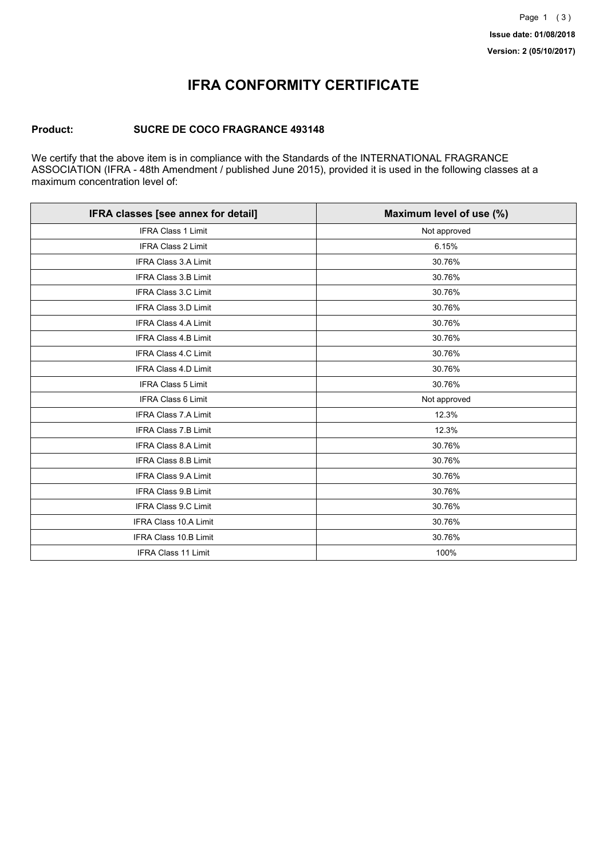## **IFRA CONFORMITY CERTIFICATE**

### **Product: SUCRE DE COCO FRAGRANCE 493148**

We certify that the above item is in compliance with the Standards of the INTERNATIONAL FRAGRANCE ASSOCIATION (IFRA - 48th Amendment / published June 2015), provided it is used in the following classes at a maximum concentration level of:

| IFRA classes [see annex for detail] | Maximum level of use (%) |
|-------------------------------------|--------------------------|
| <b>IFRA Class 1 Limit</b>           | Not approved             |
| <b>IFRA Class 2 Limit</b>           | 6.15%                    |
| <b>IFRA Class 3.A Limit</b>         | 30.76%                   |
| IFRA Class 3.B Limit                | 30.76%                   |
| IFRA Class 3.C Limit                | 30.76%                   |
| <b>IFRA Class 3.D Limit</b>         | 30.76%                   |
| <b>IFRA Class 4.A Limit</b>         | 30.76%                   |
| <b>IFRA Class 4.B Limit</b>         | 30.76%                   |
| <b>IFRA Class 4.C Limit</b>         | 30.76%                   |
| <b>IFRA Class 4.D Limit</b>         | 30.76%                   |
| <b>IFRA Class 5 Limit</b>           | 30.76%                   |
| <b>IFRA Class 6 Limit</b>           | Not approved             |
| <b>IFRA Class 7.A Limit</b>         | 12.3%                    |
| <b>IFRA Class 7.B Limit</b>         | 12.3%                    |
| IFRA Class 8.A Limit                | 30.76%                   |
| <b>IFRA Class 8.B Limit</b>         | 30.76%                   |
| <b>IFRA Class 9.A Limit</b>         | 30.76%                   |
| <b>IFRA Class 9.B Limit</b>         | 30.76%                   |
| IFRA Class 9.C Limit                | 30.76%                   |
| IFRA Class 10.A Limit               | 30.76%                   |
| IFRA Class 10.B Limit               | 30.76%                   |
| <b>IFRA Class 11 Limit</b>          | 100%                     |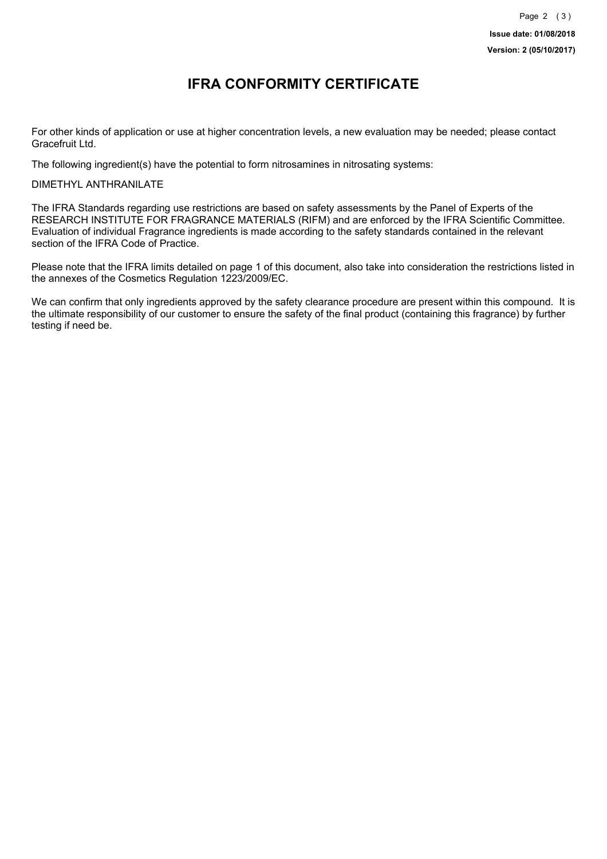### **IFRA CONFORMITY CERTIFICATE**

For other kinds of application or use at higher concentration levels, a new evaluation may be needed; please contact Gracefruit Ltd.

The following ingredient(s) have the potential to form nitrosamines in nitrosating systems:

DIMETHYL ANTHRANILATE

The IFRA Standards regarding use restrictions are based on safety assessments by the Panel of Experts of the RESEARCH INSTITUTE FOR FRAGRANCE MATERIALS (RIFM) and are enforced by the IFRA Scientific Committee. Evaluation of individual Fragrance ingredients is made according to the safety standards contained in the relevant section of the IFRA Code of Practice.

Please note that the IFRA limits detailed on page 1 of this document, also take into consideration the restrictions listed in the annexes of the Cosmetics Regulation 1223/2009/EC.

We can confirm that only ingredients approved by the safety clearance procedure are present within this compound. It is the ultimate responsibility of our customer to ensure the safety of the final product (containing this fragrance) by further testing if need be.